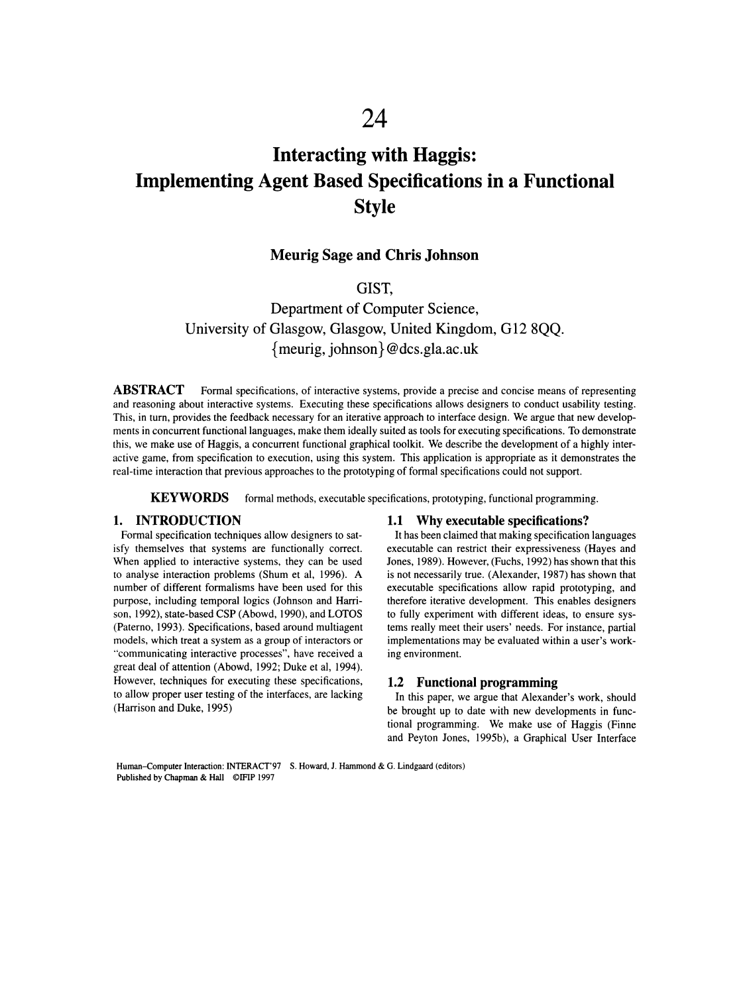# **Interacting with Haggis: Implementing Agent Based Specifications in a Functional Style**

## **Meurig Sage and Chris Johnson**

## GIST,

Department of Computer Science, University of Glasgow, Glasgow, United Kingdom, G12 8QQ. {meurig, johnson}@dcs.gla.ac.uk

**ABSTRACT** Formal specifications, of interactive systems, provide a precise and concise means of representing and reasoning about interactive systems. Executing these specifications allows designers to conduct usability testing. This, in turn, provides the feedback necessary for an iterative approach to interface design. We argue that new developments in concurrent functional languages, make them ideally suited as tools for executing specifications. To demonstrate this, we make use of Haggis, a concurrent functional graphical toolkit. We describe the development of a highly interactive game, from specification to execution, using this system. This application is appropriate as it demonstrates the real-time interaction that previous approaches to the prototyping of fonnal specifications could not support.

**KEYWORDS** formal methods, executable specifications, prototyping, functional programming.

## **1. INTRODUCTION**

Formal specification techniques allow designers to satisfy themselves that systems are functionally correct. When applied to interactive systems, they can be used to analyse interaction problems (Shum et aI, 1996). A number of different formalisms have been used for this purpose, including temporal logics (Johnson and Harrison, 1992), state-based CSP (Abowd, 1990), and LOTOS (Paterno, 1993). Specifications, based around multiagent models, which treat a system as a group of interactors or "communicating interactive processes", have received a great deal of attention (Abowd, 1992; Duke et aI, 1994). However, techniques for executing these specifications, to allow proper user testing of the interfaces, are lacking (Harrison and Duke, 1995)

#### **1.1 Why executable specifications?**

It has been claimed that making specification languages executable can restrict their expressiveness (Hayes and Jones, 1989). However, (Fuchs, 1992) has shown that this is not necessarily true. (Alexander, 1987) has shown that executable specifications allow rapid prototyping, and therefore iterative development. This enables designers to fully experiment with different ideas, to ensure systems really meet their users' needs. For instance, partial implementations may be evaluated within a user's working environment.

#### **1.2 Functional programming**

In this paper, we argue that Alexander's work, should be brought up to date with new developments in functional programming. We make use of Haggis (Finne and Peyton Jones, 1995b), a Graphical User Interface

Human-Computer Interaction: INTERACT'97 S. Howard, J. Hammond & G. Lindgaard (editors) Published by Chapman & Hall ©IFIP 1997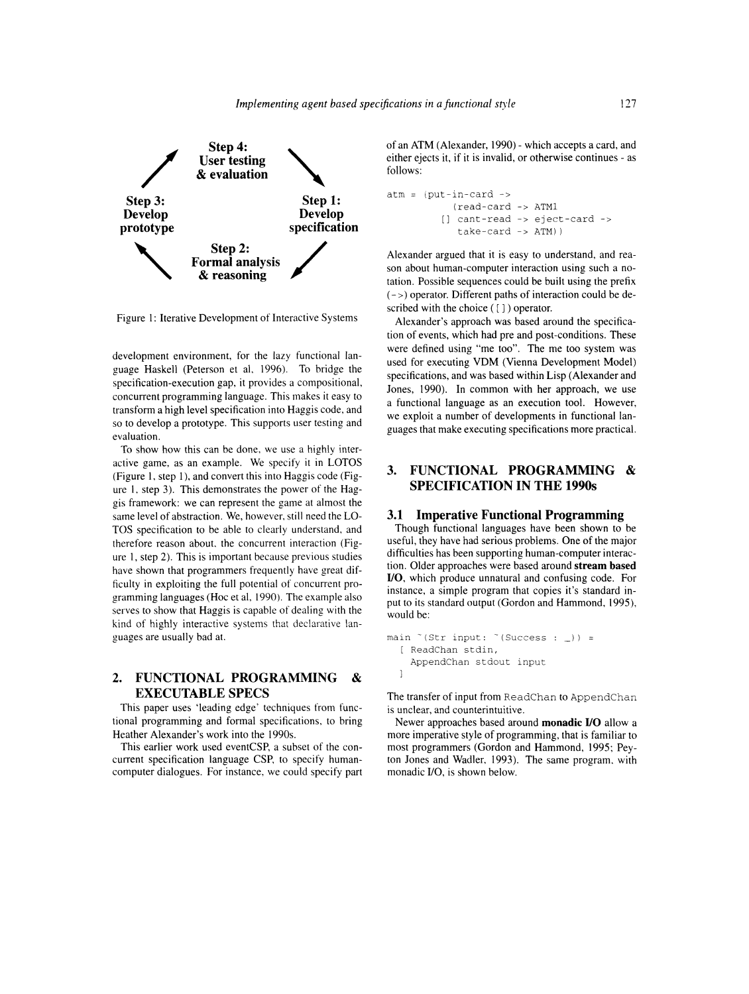

Figure I: Iterative Development of Interactive Systems

development environment, for the lazy functional language Haskell (Peterson et al, 1996). To bridge the specification-execution gap, it provides a compositional, concurrent programming language. This makes it easy to transform a high level specification into Haggis code, and so to develop a prototype. This supports user testing and evaluation.

To show how this can be done, we use a highly interactive game, as an example. We specify it in LOTOS (Figure I, step I), and convert this into Haggis code (Figure I, step 3). This demonstrates the power of the Haggis framework: we can represent the game at almost the same level of abstraction. We, however, still need the LO-TOS specification to be able to clearly understand, and therefore reason about. the concurrent interaction (Figure I, step 2). This is important because previous studies have shown that programmers frequently have great difficulty in exploiting the full potential of concurrent programming languages (Hoc et al, 1990). The example also serves to show that Haggis is capable of dealing with the kind of highly interactive systems that declarative languages are usually bad at.

## **2. FUNCTIONAL PROGRAMMING & EXECUTABLE SPECS**

This paper uses 'leading edge' techniques from functional programming and formal specifications, to bring Heather Alexander's work into the 1990s.

This earlier work used eventCSP, a subset of the concurrent specification language CSP, to specify humancomputer dialogues. For instance, we could specify part of an ATM (Alexander, 1990) - which accepts a card, and either ejects it, if it is invalid, or otherwise continues - as follows:

 $atm = (put-in-card ->$ (read-card -> ATMl [J cant-read -> eject-card -> take-card -> ATM) )

Alexander argued that it is easy to understand, and reason about human-computer interaction using such a notation. Possible sequences could be built using the prefix  $(-)$  operator. Different paths of interaction could be described with the choice ([]) operator.

Alexander's approach was based around the specification of events, which had pre and post-conditions. These were defined using "me too". The me too system was used for executing VDM (Vienna Development Model) specifications, and was based within Lisp (Alexander and Jones, 1990). In common with her approach, we use a functional language as an execution tool. However, we exploit a number of developments in functional languages that make executing specifications more practical.

## **3. FUNCTIONAL PROGRAMMING & SPECIFICATION IN THE 1990s**

#### **3.1 Imperative Functional Programming**

Though functional languages have been shown to be useful, they have had serious problems. One of the major difficulties has been supporting human-computer interaction. Older approaches were based around **stream based**  I/O, which produce unnatural and confusing code. For instance, a simple program that copies it's standard input to its standard output (Gordon and Hammond, 1995), would be:

```
main \tilde{ } (Str input: \tilde{ } (Success : \bot)) =
  ReadChan stdin, 
     AppendChan stdout input
```
The transfer of input from ReadChan to AppendChan is unclear, and counterintuitive.

Newer approaches based around **monadic I/O** allow a more imperative style of programming, that is familiar to most programmers (Gordon and Hammond, 1995; Peyton Jones and Wadler, 1993). The same program, with monadic I/O, is shown below.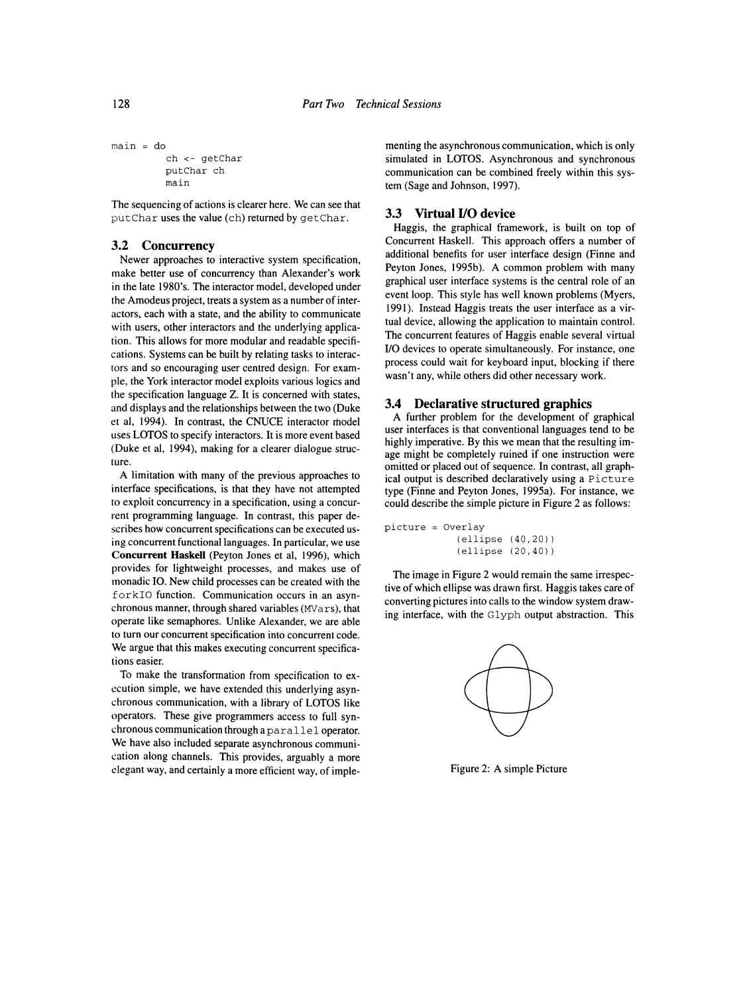$main = do$ ch <- getChar putChar ch main

The sequencing of actions is clearer here. We can see that put Char uses the value (ch) returned by get Char.

## **3.2 Concurrency**

Newer approaches to interactive system specification, make better use of concurrency than Alexander's work in the late 1980's. The interactor model, developed under the Amodeus project, treats a system as a number of interactors, each with a state, and the ability to communicate with users, other interactors and the underlying application. This allows for more modular and readable specifications. Systems can be built by relating tasks to interactors and so encouraging user centred design. For example, the York interactor model exploits various logics and the specification language Z. **It** is concerned with states, and displays and the relationships between the two (Duke et aI, 1994). **In** contrast, the CNUCE interactor model uses LOTOS to specify interactors. It is more event based (Duke et aI, 1994), making for a clearer dialogue structure.

A limitation with many of the previous approaches to interface specifications, is that they have not attempted to exploit concurrency in a specification, using a concurrent programming language. **In** contrast, this paper describes how concurrent specifications can be executed using concurrent functional languages. **In** particular, we use **Concurrent Haskell** (Peyton Jones et aI, 1996), which provides for lightweight processes, and makes use of monadic 10. New child processes can be created with the forkIO function. Communication occurs in an asynchronous manner, through shared variables (MVars), that operate like semaphores. Unlike Alexander, we are able to turn our concurrent specification into concurrent code. We argue that this makes executing concurrent specifications easier.

To make the transformation from specification to execution simple, we have extended this underlying asynchronous communication, with a library of LOTOS like operators. These give programmers access to full synchronous communication through a parallel operator. We have also included separate asynchronous communication along channels. This provides, arguably a more elegant way, and certainly a more efficient way, of implementing the asynchronous communication, which is only simulated in LOTOS. Asynchronous and synchronous communication can be combined freely within this system (Sage and Johnson, 1997).

#### **3.3 Virtual I/O device**

Haggis, the graphical framework, is built on top of Concurrent Haskell. This approach offers a number of additional benefits for user interface design (Finne and Peyton Jones, 1995b). A common problem with many graphical user interface systems is the central role of an event loop. This style has well known problems (Myers, 1991). Instead Haggis treats the user interface as a virtual device, allowing the application to maintain control. The concurrent features of Haggis enable several virtual I/O devices to operate simultaneously. For instance, one process could wait for keyboard input, blocking if there wasn't any, while others did other necessary work.

#### **3.4 Declarative structured graphics**

A further problem for the development of graphical user interfaces is that conventional languages tend to be highly imperative. By this we mean that the resulting image might be completely ruined if one instruction were omitted or placed out of sequence. **In** contrast, all graphical output is described declaratively using a Picture type (Finne and Peyton Jones, 1995a). For instance, we could describe the simple picture in Figure 2 as follows:

```
picture = Overlay 
             (ellipse (40,20)) 
             (ellipse (20,40))
```
The image in Figure 2 would remain the same irrespective of which ellipse was drawn first. Haggis takes care of converting pictures into calls to the window system drawing interface, with the Glyph output abstraction. This



Figure 2: A simple Picture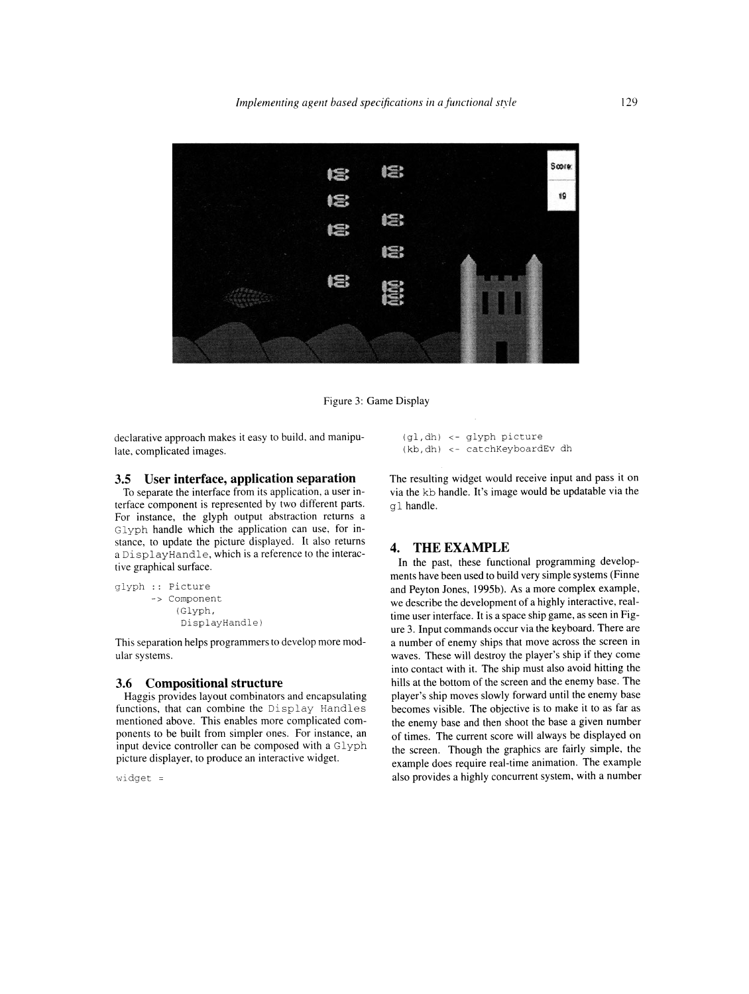

Figure 3: Game Display

declarative approach makes it easy to build. and manipulate, complicated images.

#### **3.5 User interface, application separation**

To separate the interface from its application, a user interface component is represented by two different parts. For instance, the glyph output abstraction returns a Glyph handle which the application can use, for instance, to update the picture displayed. It also returns a DisplayHandle, which is a reference to the interactive graphical surface.

```
glyph :: Picture
      -> Component
          (Glyph , 
            DisplayHandle)
```
This separation helps programmers to develop more modular systems.

#### **3.6 Compositional structure**

Haggis provides layout combinators and encapsulating functions, that can combine the Display Handles mentioned above. This enables more complicated components to be built from simpler ones. For instance, an input device controller can be composed with a  $Glyph$ picture displayer, to produce an interactive widget.

widget =

 $(ql, dh) \leq -q$ lyph picture (kb , dh) <- cat chKeyboardEv dh

The resulting widget would receive input and pass it on via the kb handle. It's image would be updatable via the gl handle.

#### **4. THE EXAMPLE**

In the past, these functional programming developments have been used to build very simple systems (Finne and Peyton Jones, 1995b). As a more complex example, we describe the development of a highly interactive, realtime user interface. It is a space ship game, as seen in Figure 3. Input commands occur via the keyboard. There are a number of enemy ships that move across the screen in waves. These will destroy the player's ship if they come into contact with it. The ship must also avoid hitting the hills at the bottom of the screen and the enemy base. The player's ship moves slowly forward until the enemy base becomes visible. The objective is to make it to as far as the enemy base and then shoot the base a given number of times. The current score will always be displayed on the screen. Though the graphics are fairly simple, the example does require real-time animation. The example also provides a highly concurrent system, with a number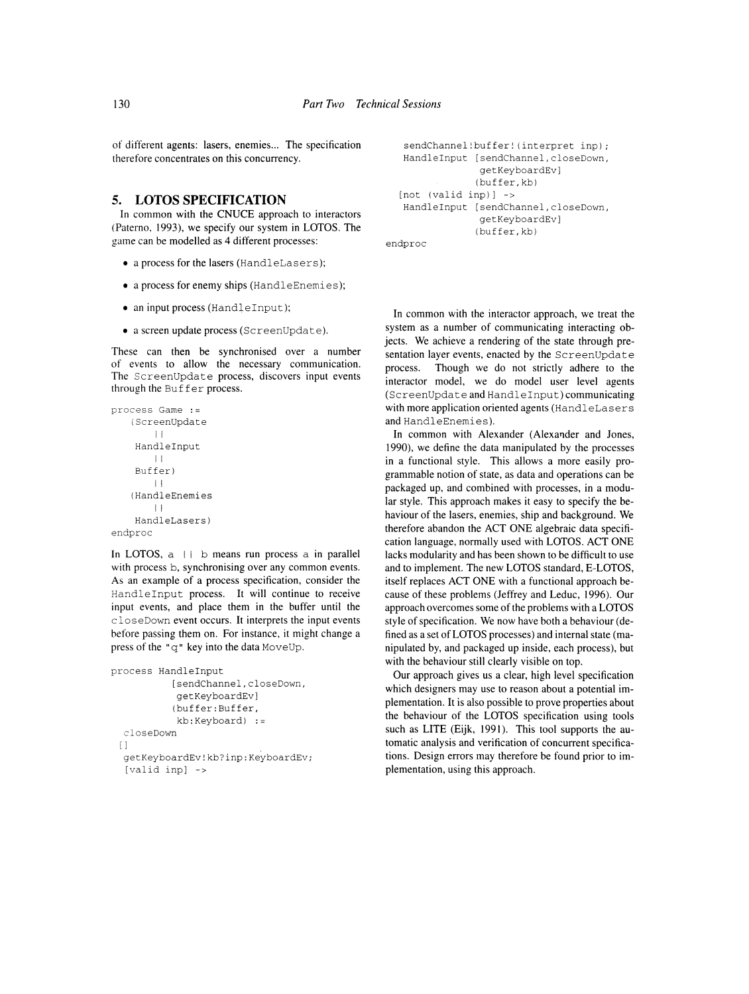of different agents: lasers, enemies... The specification therefore concentrates on this concurrency.

### **5. LOTOS SPECIFICATION**

In common with the CNUCE approach to interactors (Paterno, 1993), we specify our system in LOTOS. The game can be modelled as 4 different processes:

- a process for the lasers (HandleLasers);
- a process for enemy ships (HandleEnemies);
- an input process (HandleInput);
- a screen update process (ScreenUpdate).

These can then be synchronised over a number of events to allow the necessary communication. The ScreenUpdate process, discovers input events through the Buffer process.

```
process Game := 
   iScreenUpdate 
        II 
    Handlelnput 
        II 
    Buffer) 
        II 
   (HandleEnemies 
       II 
    HandleLasers) 
endproc
```
In LOTOS,  $a \mid \cdot \mid b$  means run process a in parallel with process **b**, synchronising over any common events. As an example of a process specification, consider the HandleInput process. It will continue to receive input events, and place them in the buffer until the closeDown event occurs. It interprets the input events before passing them on. For instance, it might change a press of the "q" key into the data MoveUp.

```
process Handlelnput 
           [sendChannel,closeDown, 
            getKeyboardEv] 
           (buffer: Buffer, 
            kb:Keyboard) .-
  closeDown 
 []
  getKeyboardEv! kb?inp: KeyboardEv; 
  [valid inp] ->
```

```
sendChannel!buffer! (interpret inp);
   HandleInput [sendChannel, closeDown,
                 getKeyboardEv] 
                (buffer,kb) 
  [not (valid inp)] -> 
   HandleInput [sendChannel, closeDown,
                 getKeyboardEv] 
                (buffer, kb) 
endproc
```
In common with the interactor approach, we treat the system as a number of communicating interacting objects. We achieve a rendering of the state through presentation layer events, enacted by the ScreenUpdate process. Though we do not strictly adhere to the interactor model, we do model user level agents (ScreenUpdate and HandleInput) communicating with more application oriented agents (HandleLasers and HandleEnemies).

In common with Alexander (Alexander and Jones, 1990), we define the data manipulated by the processes in a functional style. This allows a more easily programmable notion of state, as data and operations can be packaged up, and combined with processes, in a modular style. This approach makes it easy to specify the behaviour of the lasers, enemies, ship and background. We therefore abandon the ACT ONE algebraic data specification language, normally used with LOTOS. ACT ONE lacks modularity and has been shown to be difficult to use and to implement. The new LOTOS standard, E-LOTOS, itself replaces ACT ONE with a functional approach because of these problems (Jeffrey and Leduc, 1996). Our approach overcomes some of the problems with a LOTOS style of specification. We now have both a behaviour (defined as a set of LOTOS processes) and internal state (manipulated by, and packaged up inside, each process), but with the behaviour still clearly visible on top.

Our approach gives us a clear, high level specification which designers may use to reason about a potential implementation. It is also possible to prove properties about the behaviour of the LOTOS specification using tools such as LITE (Eijk, 1991). This tool supports the automatic analysis and verification of concurrent specifications. Design errors may therefore be found prior to implementation, using this approach.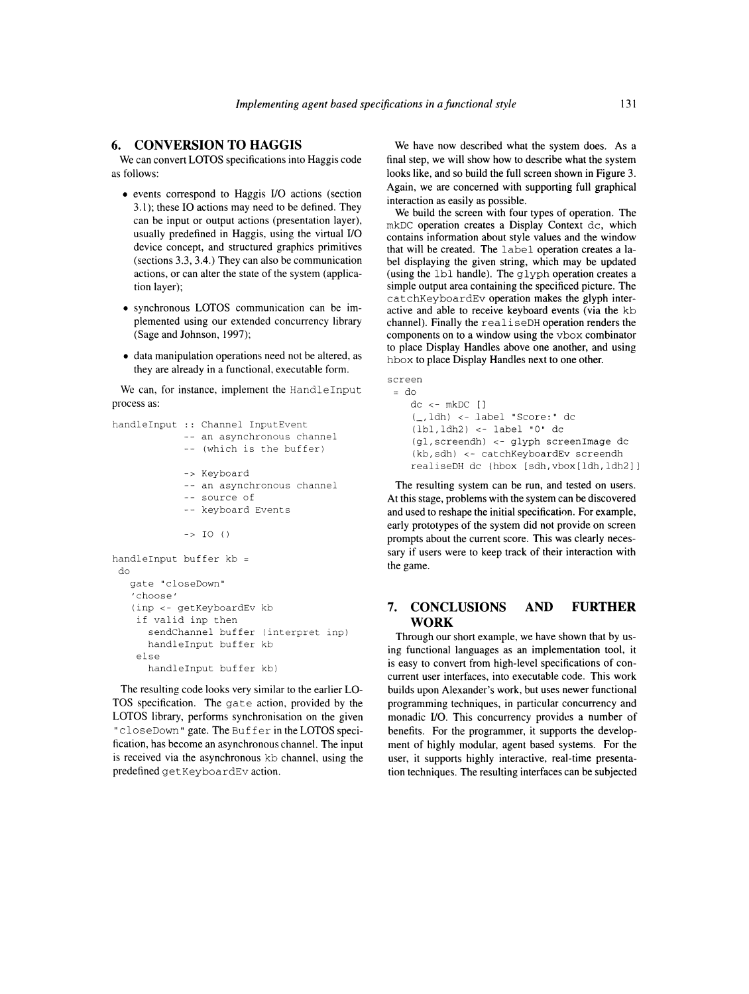## **6. CONVERSION TO HAGGIS**

We can convert LOTOS specifications into Haggis code as follows:

- events correspond to Haggis I/O actions (section 3.1); these 10 actions may need to be defined. They can be input or output actions (presentation layer), usually predefined in Haggis, using the virtual I/O device concept, and structured graphics primitives (sections 3.3, 3.4.) They can also be communication actions, or can alter the state of the system (application layer);
- synchronous LOTOS communication can be implemented using our extended concurrency library (Sage and Johnson, 1997);
- data manipulation operations need not be altered, as they are already in a functional, executable form.

We can, for instance, implement the HandleInput process as:

```
handleInput :: Channel InputEvent
             -- an asynchronous channel
             -- (which is the buffer)
             -> Keyboard 
             -- an asynchronous channel
             -- source of
             -- keyboard Events
             \rightarrow 10 ()
handle1nput buffer kb 
 do 
   gate "closeDown" 
   'choose' 
   (inp <- getKeyboardEv kb 
    if valid inp then 
      sendChannel buffer (interpret inp) 
      handle1nput buffer kb 
    else 
      handle1nput buffer kb)
```
The resulting code looks very similar to the earlier LO-TOS specification. The gate action, provided by the LOTOS library, performs synchronisation on the given "closeDown" gate. The Buffer in the LOTOS specification, has become an asynchronous channel. The input is received via the asynchronous kb channel, using the predefined getKeyboardEv action.

We have now described what the system does. As a final step, we will show how to describe what the system looks like, and so build the full screen shown in Figure 3. Again, we are concerned with supporting full graphical interaction as easily as possible.

We build the screen with four types of operation. The mkDC operation creates a Display Context dc, which contains information about style values and the window that will be created. The label operation creates a label displaying the given string, which may be updated (using the lbl handle). The glyph operation creates a simple output area containing the specificed picture. The catchKeyboardEv operation makes the glyph interactive and able to receive keyboard events (via the kb channel). Finally the realiseDH operation renders the components on to a window using the vbox combinator to place Display Handles above one another, and using hbox to place Display Handles next to one other.

```
screen 
do 
    dc <- mkDC [] 
    (_,ldh) <- label "Score:" dc 
    (lbl,ldh2) <- label "0" dc 
    (gl,screendh) <- glyph screen1mage dc 
    (kb,sdh) <- catchKeyboardEv screendh 
    realiseDH dc (hbox [sdh,vbox[ldh,ldh2]]
```
The resulting system can be run, and tested on users. At this stage, problems with the system can be discovered and used to reshape the initial specification. For example, early prototypes of the system did not provide on screen prompts about the current score. This was clearly necessary if users were to keep track of their interaction with the game.

#### **7. CONCLUSIONS WORK AND FURTHER**

Through our short example, we have shown that by using functional languages as an implementation tool, it is easy to convert from high-level specifications of concurrent user interfaces, into executable code. This work builds upon Alexander's work, but uses newer functional programming techniques, in particular concurrency and monadic I/O. This concurrency provides a number of benefits. For the programmer, it supports the development of highly modular, agent based systems. For the user, it supports highly interactive, real-time presentation techniques. The resulting interfaces can be subjected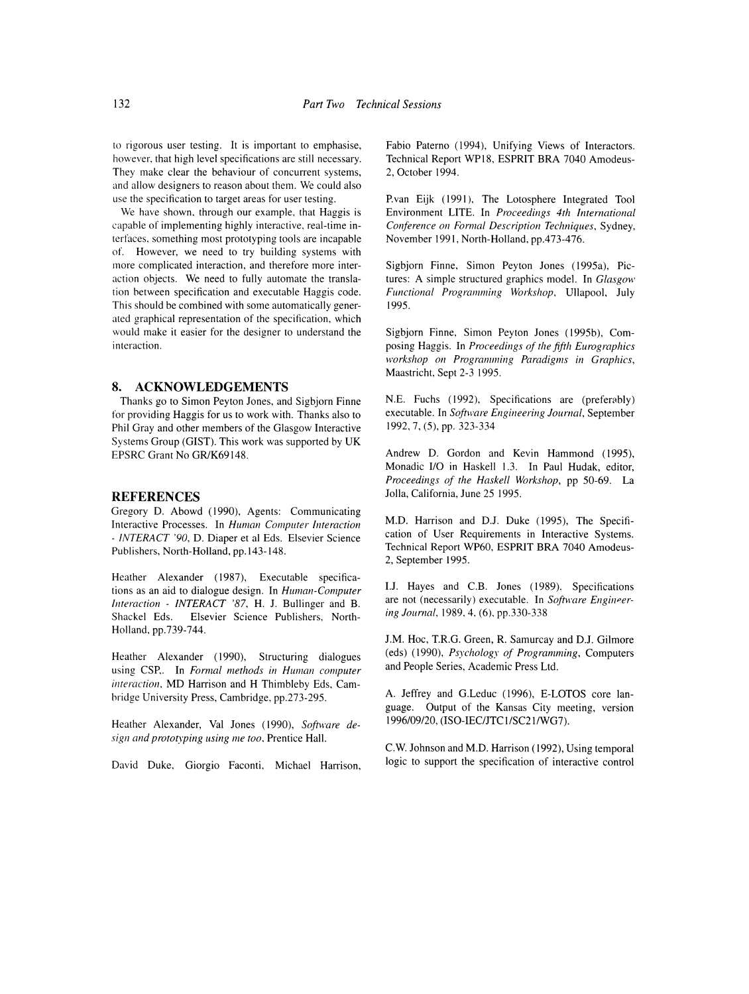to rigorous user testing. It is important to emphasise, however. that high level specifications are still necessary. They make clear the behaviour of concurrent systems, and allow designers to reason about them. We could also use the specification to target areas for user testing.

We have shown. through our example, that Haggis is capable of implementing highly interactive, real-time interfaces. something most prototyping tools are incapable of. However, we need to try building systems with more complicated interaction, and therefore more interaction objects. We need to fully automate the translation between specification and executable Haggis code. This should be combined with some automatically generated graphical representation of the specification, which would make it easier for the designer to understand the interaction.

#### **8. ACKNOWLEDGEMENTS**

Thanks go to Simon Peyton Jones, and Sigbjorn Finne for providing Haggis for us to work with. Thanks also to Phil Gray and other members of the Glasgow Interactive Systems Group (GIST). This work was supported by UK EPSRC Grant No GR/K69148.

#### **REFERENCES**

Gregory D. Abowd (1990), Agents: Communicating Interactive Processes. In *Human Computer Interaction - INTERACT '90,* D. Diaper et al Eds. Elsevier Science Publishers, North-Holland, pp.143-148.

Heather Alexander (1987), Executable specifications as an aid to dialogue design. In *Human-Computer IlIteraction* - *INTERACT* '87, H. J. Bullinger and B. Shackel Eds. Elsevier Science Publishers, North-Holland, pp.739-744.

Heather Alexander (1990), Structuring dialogues using CSP,. In *Formal methods in Human computer*  interaction, MD Harrison and H Thimbleby Eds, Cambridge University Press, Cambridge. pp.273-295.

Heather Alexander, Val Jones (1990), *Software desigll and protot)ping using me too.* Prentice Hall.

David Duke, Giorgio Faconti, Michael Harrison,

Fabio Paterno (1994), Unifying Views of Interactors. Technical Report WPI8, ESPRIT BRA 7040 Amodeus-2, October 1994.

P.van Eijk (1991), The Lotosphere Integrated Tool Environment LITE. In *Proceedings 4th International Conference on Formal Description Techniques,* Sydney, November 1991, North-Holland, pp.473-476.

Sigbjorn Finne, Simon Peyton Jones (1995a), Pictures: A simple structured graphics model. In *Glasgow Functional Programming Workshop,* Ullapool, July 1995.

Sigbjorn Finne, Simon Peyton Jones (1995b), Composing Haggis. In *Proceedings of the fifth Eurographics workshop on Programming Paradigms in Graphics,*  Maastricht, Sept 2-3 1995.

N.E. Fuchs (1992), Specifications are (preferably) executable. In *Software Engineering Journal,* September 1992,7, (5), pp. 323-334

Andrew D. Gordon and Kevin Hammond (1995), Monadic I/O in Haskell 1.3. In Paul Hudak, editor, *Proceedings of the Haskell Workshop,* pp 50-69. La Jolla, California, June 25 1995.

M.D. Harrison and DJ. Duke (1995), The Specification of User Requirements in Interactive Systems. Technical Report WP60, ESPRIT BRA 7040 Amodeus-2, September 1995.

I.J. Hayes and C.B. Jones (1989), Specifications are not (necessarily) executable. In *Software Engineering Journal,* 1989,4. (6), pp.330-338

J.M. Hoc, T.R.G. Green, R. Samurcay and DJ. Gilmore (eds) (1990), *Psychology of Programming,* Computers and People Series, Academic Press Ltd.

A. Jeffrey and G.Leduc (1996), E-LOTOS core language. Output of the Kansas City meeting, version 1996/09/20, (ISO-IEC/JTC l/SC21/WG7).

C.W. Johnson and M.D. Harrison (1992), Using temporal logic to support the specification of interactive control